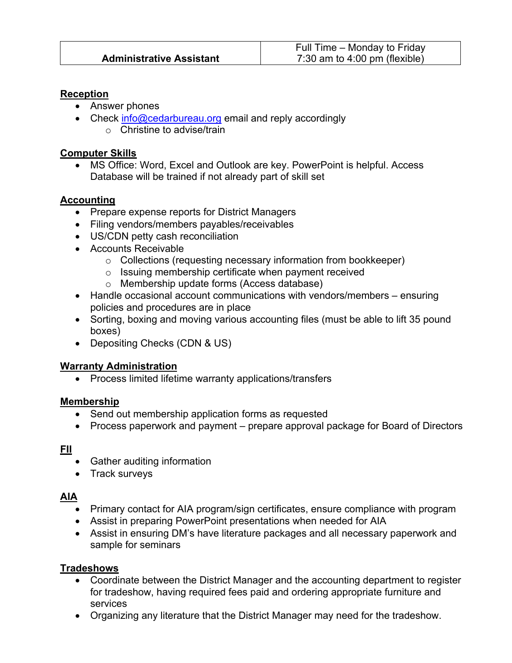#### **Reception**

- Answer phones
- Check info@cedarbureau.org email and reply accordingly o Christine to advise/train

#### **Computer Skills**

MS Office: Word, Excel and Outlook are key. PowerPoint is helpful. Access Database will be trained if not already part of skill set

## **Accounting**

- Prepare expense reports for District Managers
- Filing vendors/members payables/receivables
- US/CDN petty cash reconciliation
- Accounts Receivable
	- o Collections (requesting necessary information from bookkeeper)
	- o Issuing membership certificate when payment received
	- o Membership update forms (Access database)
- Handle occasional account communications with vendors/members ensuring policies and procedures are in place
- Sorting, boxing and moving various accounting files (must be able to lift 35 pound boxes)
- Depositing Checks (CDN & US)

## **Warranty Administration**

• Process limited lifetime warranty applications/transfers

#### **Membership**

- Send out membership application forms as requested
- Process paperwork and payment prepare approval package for Board of Directors

## **FII**

- Gather auditing information
- Track surveys

## **AIA**

- Primary contact for AIA program/sign certificates, ensure compliance with program
- Assist in preparing PowerPoint presentations when needed for AIA
- Assist in ensuring DM's have literature packages and all necessary paperwork and sample for seminars

#### **Tradeshows**

- Coordinate between the District Manager and the accounting department to register for tradeshow, having required fees paid and ordering appropriate furniture and services
- Organizing any literature that the District Manager may need for the tradeshow.